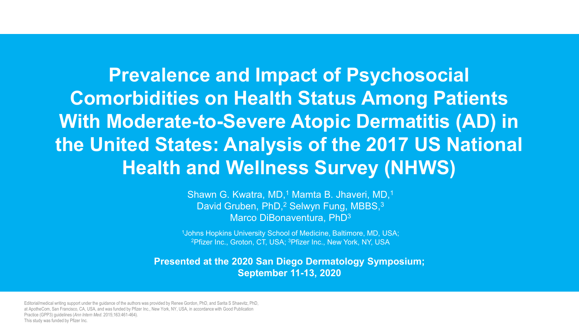**Prevalence and Impact of Psychosocial Comorbidities on Health Status Among Patients With Moderate-to-Severe Atopic Dermatitis (AD) in the United States: Analysis of the 2017 US National Health and Wellness Survey (NHWS)**

> Shawn G. Kwatra, MD,<sup>1</sup> Mamta B. Jhaveri, MD,<sup>1</sup> David Gruben, PhD,<sup>2</sup> Selwyn Fung, MBBS,<sup>3</sup> Marco DiBonaventura, PhD3

1Johns Hopkins University School of Medicine, Baltimore, MD, USA; 2Pfizer Inc., Groton, CT, USA; 3Pfizer Inc., New York, NY, USA

**Presented at the 2020 San Diego Dermatology Symposium; September 11-13, 2020**

Editorial/medical writing support under the guidance of the authors was provided by Renee Gordon, PhD, and Sarita S Shaevitz, PhD, at ApotheCom, San Francisco, CA, USA, and was funded by Pfizer Inc., New York, NY, USA, in accordance with Good Publication Practice (GPP3) guidelines (*Ann Intern Med*. 2015;163:461-464). This study was funded by Pfizer Inc.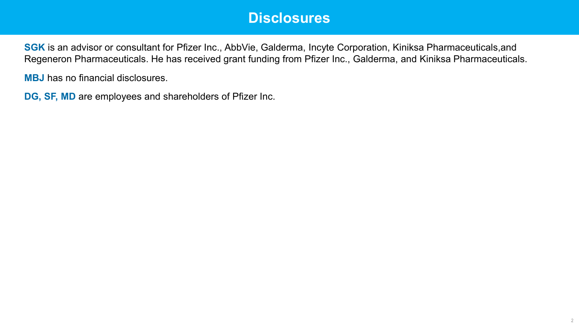## **Disclosures**

**SGK** is an advisor or consultant for Pfizer Inc., AbbVie, Galderma, Incyte Corporation, Kiniksa Pharmaceuticals,and Regeneron Pharmaceuticals. He has received grant funding from Pfizer Inc., Galderma, and Kiniksa Pharmaceuticals.

**MBJ** has no financial disclosures.

**DG, SF, MD** are employees and shareholders of Pfizer Inc.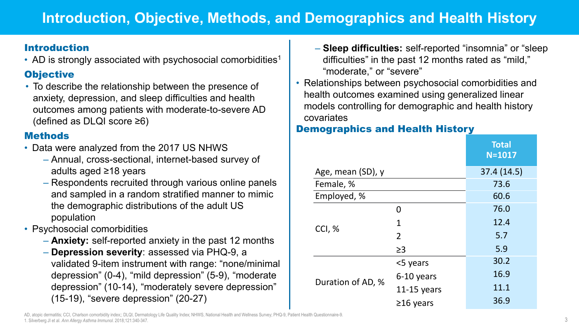# **Introduction, Objective, Methods, and Demographics and Health History**

#### Introduction

• AD is strongly associated with psychosocial comorbidities<sup>1</sup>

### **Objective**

• To describe the relationship between the presence of anxiety, depression, and sleep difficulties and health outcomes among patients with moderate-to-severe AD (defined as DLQI score ≥6)

### **Methods**

- Data were analyzed from the 2017 US NHWS
	- Annual, cross-sectional, internet-based survey of adults aged ≥18 years
	- Respondents recruited through various online panels and sampled in a random stratified manner to mimic the demographic distributions of the adult US population
- Psychosocial comorbidities
	- **Anxiety:** self-reported anxiety in the past 12 months
	- **Depression severity**: assessed via PHQ-9, a validated 9-item instrument with range: "none/minimal depression" (0-4), "mild depression" (5-9), "moderate depression" (10-14), "moderately severe depression" (15-19), "severe depression" (20-27)
- **Sleep difficulties:** self-reported "insomnia" or "sleep difficulties" in the past 12 months rated as "mild," "moderate," or "severe"
- Relationships between psychosocial comorbidities and health outcomes examined using generalized linear models controlling for demographic and health history covariates

### Demographics and Health History

|                   |                 | <b>Total</b><br>$N = 1017$ |
|-------------------|-----------------|----------------------------|
| Age, mean (SD), y |                 | 37.4 (14.5)                |
| Female, %         | 73.6            |                            |
| Employed, %       |                 | 60.6                       |
| CCI, %            | O               | 76.0                       |
|                   | 1               | 12.4                       |
|                   | $\overline{2}$  | 5.7                        |
|                   | $\geq$ 3        | 5.9                        |
| Duration of AD, % | <5 years        | 30.2                       |
|                   | 6-10 years      | 16.9                       |
|                   | 11-15 years     | 11.1                       |
|                   | $\geq$ 16 years | 36.9                       |

AD, atopic dermatitis; CCI, Charlson comorbidity index;; DLQI, Dermatology Life Quality Index; NHWS, National Health and Wellness Survey; PHQ-9, Patient Health Questionnaire-9. 1. Silverberg JI et al. *Ann Allergy Asthma Immunol.* 2018;121:340-347.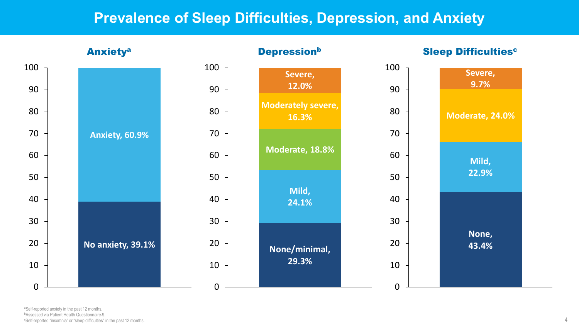## **Prevalence of Sleep Difficulties, Depression, and Anxiety**



a Self-reported anxiety in the past 12 months. bAssessed via Patient Health Questionnaire-9. c Self-reported "insomnia" or "sleep difficulties" in the past 12 months.